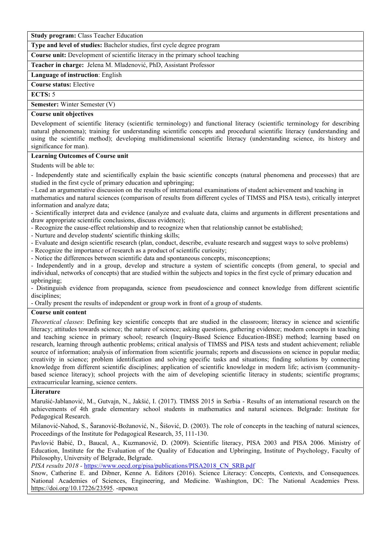**Study program:** Class Teacher Education

**Type and level of studies:** Bachelor studies, first cycle degree program

**Course unit:** Development of scientific literacy in the primary school teaching

**Teacher in charge:** Jelena M.Mladenović, PhD, Assistant Professor

**Language of instruction**: English

**Course status:** Elective

**ЕCTS:** 5

**Semester:** Winter Semester (V)

#### **Course unit objectives**

Development of scientific literacy (scientific terminology) and functional literacy (scientific terminology for describing natural phenomena); training for understanding scientific concepts and procedural scientific literacy (understanding and using the scientific method); developing multidimensional scientific literacy (understanding science, its history and significance for man).

### **Learning Outcomes of Course unit**

Students will be able to:

- Independently state and scientifically explain the basic scientific concepts (natural phenomena and processes) that are studied in the first cycle of primary education and upbringing;

- Lead an argumentative discussion on the results of international examinations of student achievement and teaching in mathematics and natural sciences (comparison of results from different cycles of TIMSS and PISA tests), critically interpret information and analyze data;

- Scientifically interpret data and evidence (analyze and evaluate data, claims and arguments in different presentations and draw appropriate scientific conclusions, discuss evidence);

- Recognize the cause-effect relationship and to recognize when that relationship cannot be established;

- Nurture and develop students' scientific thinking skills;

- Evaluate and design scientific research (plan, conduct, describe, evaluate research and suggest ways to solve problems)

- Recognize the importance of research as a product of scientific curiosity;

- Notice the differences between scientific data and spontaneous concepts, misconceptions;

- Independently and in a group, develop and structure a system of scientific concepts (from general, to special and individual, networks of concepts) that are studied within the subjects and topics in the first cycle of primary education and upbringing;

- Distinguish evidence from propaganda, science from pseudoscience and connect knowledge from different scientific disciplines;

- Orally present the results of independent or group work in front of a group of students.

### **Course unit content**

*Theoretical classes*: Defining key scientific concepts that are studied in the classroom; literacy in science and scientific literacy; attitudes towards science; the nature of science; asking questions, gathering evidence; modern concepts in teaching and teaching science in primary school; research (Inquiry-Based Science Education-IBSE) method; learning based on research, learning through authentic problems; critical analysis of TIMSS and PISA tests and student achievement; reliable source of information; analysis of information from scientific journals; reports and discussions on science in popular media; creativity in science; problem identification and solving specific tasks and situations; finding solutions by connecting knowledge from different scientific disciplines; application of scientific knowledge in modern life; activism (community based science literacy); school projects with the aim of developing scientific literacy in students; scientific programs; extracurricular learning, science centers.

## **Literature**

Marušić-Jablanović, M., Gutvajn, N., Jakšić, I. (2017). TIMSS 2015 in Serbia - Results of an international research on the achievements of 4th grade elementary school students in mathematics and natural sciences. Belgrade: Institute for Pedagogical Research.

Milanović-Nahod, S., Šaranović-Božanović, N., Šišović, D. (2003). The role of concepts in the teaching of natural sciences, Proceedings of the Institute for Pedagogical Research, 35, 111-130.

Pavlović Babić, D., Baucal, A., Kuzmanović, D. (2009). Scientific literacy, PISA 2003 and PISA 2006. Ministry of Education, Institute for the Evaluation of the Quality of Education and Upbringing, Institute of Psychology, Faculty of Philosophy, University of Belgrade, Belgrade.

*PISA results 2018 -* https://www.oecd.org/pisa/publications/PISA2018\_CN\_SRB.pdf

Snow, Catherine E. and Dibner, Kenne A. Editors (2016). Science Literacy: Concepts, Contexts, and Consequences. National Academies of Sciences, Engineering, and Medicine. Washington, DC: The National Academies Press. https://doi.org/10.17226/23595. -превод